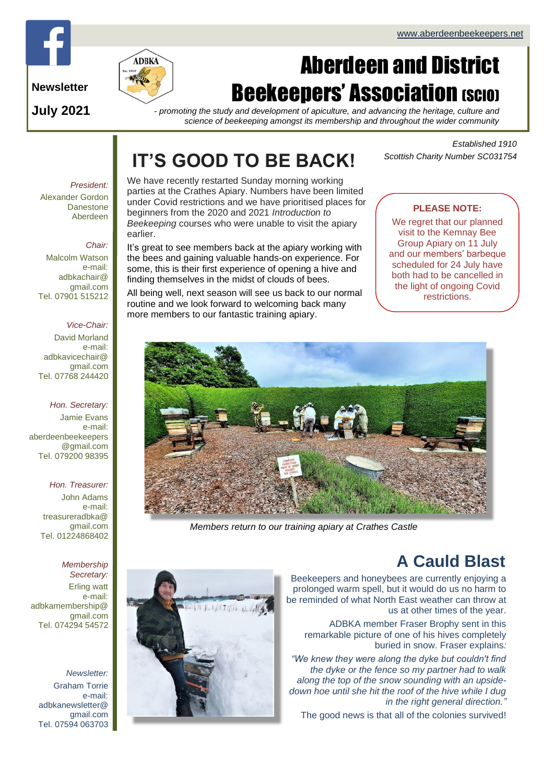

**July 2021**

# Aberdeen and District **Beekeepers' Association (SCIO)**

*- promoting the study and development of apiculture, and advancing the heritage, culture and science of beekeeping amongst its membership and throughout the wider community*

# **IT'S GOOD TO BE BACK!**

*Established 1910 Scottish Charity Number SC031754*

### *President:* Alexander Gordon Danestone Aberdeen

### *Chair:*

Malcolm Watson e-mail: adbkachair@ gmail.com Tel. 07901 515212

### *Vice-Chair:*

David Morland e-mail: adbkavicechair@ gmail.com Tel. 07768 244420

### *Hon. Secretary:*

Jamie Evans e-mail: [aberdeenbeekeepers](mailto:aberdeenbeekeepers@gmail.com) [@gmail.com](mailto:aberdeenbeekeepers@gmail.com) Tel. 079200 98395

### *Hon. Treasurer:*

John Adams e-mail: treasureradbka@ gmail.com Tel. 01224868402

### *Membership Secretary:*

Erling watt e-mail: adbkamembership@ gmail.com Tel. 074294 54572

*Newsletter:* Graham Torrie e-mail: adbkanewsletter@ gmail.com Tel. 07594 063703

We have recently restarted Sunday morning working parties at the Crathes Apiary. Numbers have been limited under Covid restrictions and we have prioritised places for beginners from the 2020 and 2021 *Introduction to Beekeeping* courses who were unable to visit the apiary earlier.

It's great to see members back at the apiary working with the bees and gaining valuable hands-on experience. For some, this is their first experience of opening a hive and finding themselves in the midst of clouds of bees.

All being well, next season will see us back to our normal routine and we look forward to welcoming back many more members to our fantastic training apiary.

## **PLEASE NOTE:**

We regret that our planned visit to the Kemnay Bee Group Apiary on 11 July and our members' barbeque scheduled for 24 July have both had to be cancelled in the light of ongoing Covid restrictions.



*Members return to our training apiary at Crathes Castle*

## **A Cauld Blast**

Beekeepers and honeybees are currently enjoying a prolonged warm spell, but it would do us no harm to be reminded of what North East weather can throw at us at other times of the year.

ADBKA member Fraser Brophy sent in this remarkable picture of one of his hives completely buried in snow. Fraser explains*:*

*"We knew they were along the dyke but couldn't find the dyke or the fence so my partner had to walk along the top of the snow sounding with an upsidedown hoe until she hit the roof of the hive while I dug in the right general direction.* 

The good news is that all of the colonies survived!

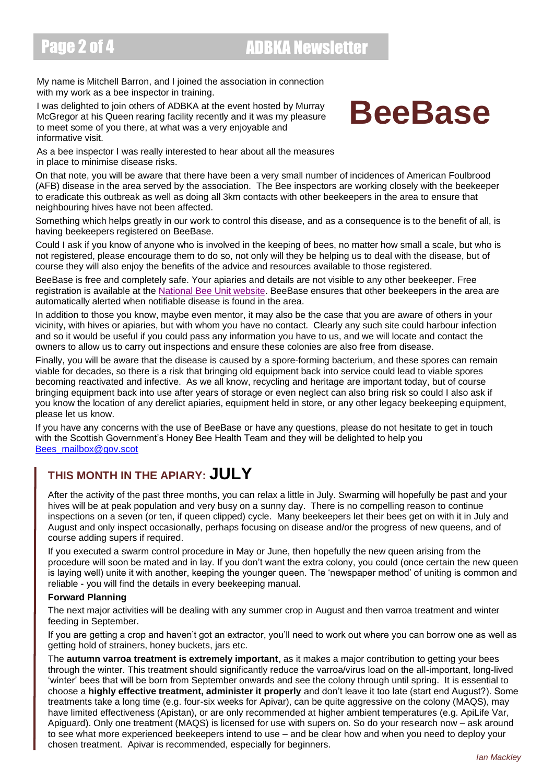# Page 2 of 4 ADBKA Newsletter

My name is Mitchell Barron, and I joined the association in connection with my work as a bee inspector in training.

I was delighted to join others of ADBKA at the event hosted by Murray McGregor at his Queen rearing facility recently and it was my pleasure to meet some of you there, at what was a very enjoyable and informative visit.

# **BeeBase**

As a bee inspector I was really interested to hear about all the measures in place to minimise disease risks.

On that note, you will be aware that there have been a very small number of incidences of American Foulbrood (AFB) disease in the area served by the association. The Bee inspectors are working closely with the beekeeper to eradicate this outbreak as well as doing all 3km contacts with other beekeepers in the area to ensure that neighbouring hives have not been affected.

Something which helps greatly in our work to control this disease, and as a consequence is to the benefit of all, is having beekeepers registered on BeeBase.

Could I ask if you know of anyone who is involved in the keeping of bees, no matter how small a scale, but who is not registered, please encourage them to do so, not only will they be helping us to deal with the disease, but of course they will also enjoy the benefits of the advice and resources available to those registered.

BeeBase is free and completely safe. Your apiaries and details are not visible to any other beekeeper. Free registration is available at the [National Bee Unit website.](https://www.nationalbeeunit.com/) BeeBase ensures that other beekeepers in the area are automatically alerted when notifiable disease is found in the area.

In addition to those you know, maybe even mentor, it may also be the case that you are aware of others in your vicinity, with hives or apiaries, but with whom you have no contact. Clearly any such site could harbour infection and so it would be useful if you could pass any information you have to us, and we will locate and contact the owners to allow us to carry out inspections and ensure these colonies are also free from disease.

Finally, you will be aware that the disease is caused by a spore-forming bacterium, and these spores can remain viable for decades, so there is a risk that bringing old equipment back into service could lead to viable spores becoming reactivated and infective. As we all know, recycling and heritage are important today, but of course bringing equipment back into use after years of storage or even neglect can also bring risk so could I also ask if you know the location of any derelict apiaries, equipment held in store, or any other legacy beekeeping equipment, please let us know.

If you have any concerns with the use of BeeBase or have any questions, please do not hesitate to get in touch with the Scottish Government's Honey Bee Health Team and they will be delighted to help you [Bees\\_mailbox@gov.scot](mailto:Bees_mailbox@gov.scot)

## **THIS MONTH IN THE APIARY: JULY**

After the activity of the past three months, you can relax a little in July. Swarming will hopefully be past and your hives will be at peak population and very busy on a sunny day. There is no compelling reason to continue inspections on a seven (or ten, if queen clipped) cycle. Many beekeepers let their bees get on with it in July and August and only inspect occasionally, perhaps focusing on disease and/or the progress of new queens, and of course adding supers if required.

If you executed a swarm control procedure in May or June, then hopefully the new queen arising from the procedure will soon be mated and in lay. If you don't want the extra colony, you could (once certain the new queen is laying well) unite it with another, keeping the younger queen. The 'newspaper method' of uniting is common and reliable - you will find the details in every beekeeping manual.

### **Forward Planning**

The next major activities will be dealing with any summer crop in August and then varroa treatment and winter feeding in September.

If you are getting a crop and haven't got an extractor, you'll need to work out where you can borrow one as well as getting hold of strainers, honey buckets, jars etc.

The **autumn varroa treatment is extremely important**, as it makes a major contribution to getting your bees through the winter. This treatment should significantly reduce the varroa/virus load on the all-important, long-lived 'winter' bees that will be born from September onwards and see the colony through until spring. It is essential to choose a **highly effective treatment, administer it properly** and don't leave it too late (start end August?). Some treatments take a long time (e.g. four-six weeks for Apivar), can be quite aggressive on the colony (MAQS), may have limited effectiveness (Apistan), or are only recommended at higher ambient temperatures (e.g. ApiLife Var, Apiguard). Only one treatment (MAQS) is licensed for use with supers on. So do your research now – ask around to see what more experienced beekeepers intend to use – and be clear how and when you need to deploy your chosen treatment. Apivar is recommended, especially for beginners.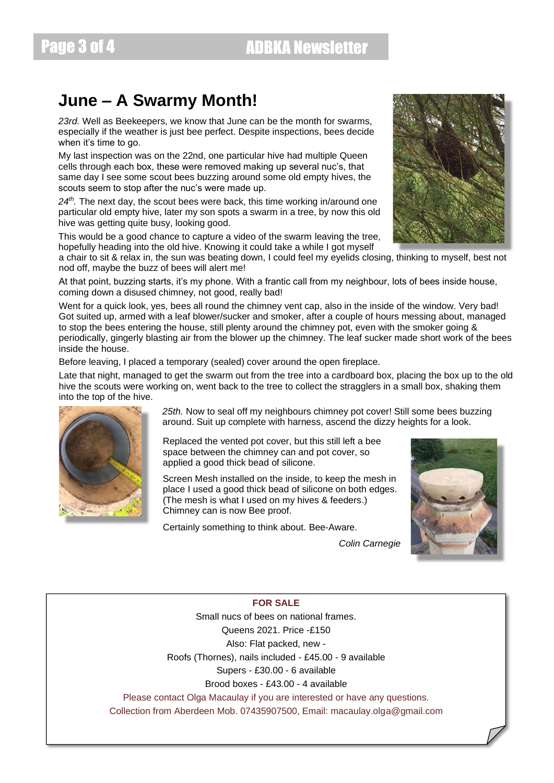## **June – A Swarmy Month!**

*23rd.* Well as Beekeepers, we know that June can be the month for swarms, especially if the weather is just bee perfect. Despite inspections, bees decide when it's time to go.

My last inspection was on the 22nd, one particular hive had multiple Queen cells through each box, these were removed making up several nuc's, that same day I see some scout bees buzzing around some old empty hives, the scouts seem to stop after the nuc's were made up.

*24th .* The next day, the scout bees were back, this time working in/around one particular old empty hive, later my son spots a swarm in a tree, by now this old hive was getting quite busy, looking good.

This would be a good chance to capture a video of the swarm leaving the tree, hopefully heading into the old hive. Knowing it could take a while I got myself

a chair to sit & relax in, the sun was beating down, I could feel my eyelids closing, thinking to myself, best not nod off, maybe the buzz of bees will alert me!

At that point, buzzing starts, it's my phone. With a frantic call from my neighbour, lots of bees inside house, coming down a disused chimney, not good, really bad!

Went for a quick look, yes, bees all round the chimney vent cap, also in the inside of the window. Very bad! Got suited up, armed with a leaf blower/sucker and smoker, after a couple of hours messing about, managed to stop the bees entering the house, still plenty around the chimney pot, even with the smoker going & periodically, gingerly blasting air from the blower up the chimney. The leaf sucker made short work of the bees inside the house.

Before leaving, I placed a temporary (sealed) cover around the open fireplace.

Late that night, managed to get the swarm out from the tree into a cardboard box, placing the box up to the old hive the scouts were working on, went back to the tree to collect the stragglers in a small box, shaking them into the top of the hive.



*25th.* Now to seal off my neighbours chimney pot cover! Still some bees buzzing around. Suit up complete with harness, ascend the dizzy heights for a look.

Replaced the vented pot cover, but this still left a bee space between the chimney can and pot cover, so applied a good thick bead of silicone.

Screen Mesh installed on the inside, to keep the mesh in place I used a good thick bead of silicone on both edges. (The mesh is what I used on my hives & feeders.) Chimney can is now Bee proof.

Certainly something to think about. Bee-Aware.

*Colin Carnegie*



### **FOR SALE**

Small nucs of bees on national frames. Queens 2021. Price -£150 Also: Flat packed, new - Roofs (Thornes), nails included - £45.00 - 9 available Supers - £30.00 - 6 available Brood boxes - £43.00 - 4 available Please contact Olga Macaulay if you are interested or have any questions. Collection from Aberdeen Mob. 07435907500, Email: macaulay.olga@gmail.com